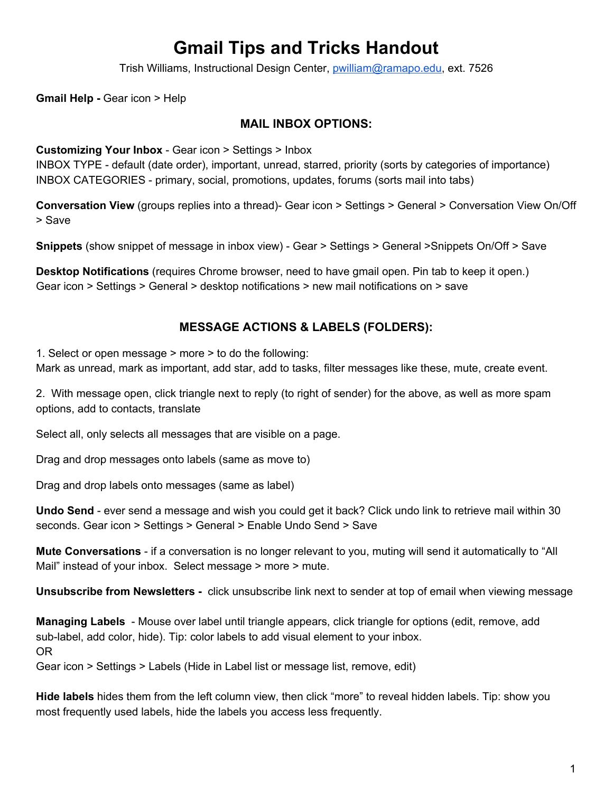# **Gmail Tips and Tricks Handout**

Trish Williams, Instructional Design Center, [pwilliam@ramapo.edu,](mailto:pwilliam@ramapo.edu) ext. 7526

**Gmail Help -** Gear icon > Help

#### **MAIL INBOX OPTIONS:**

#### **Customizing Your Inbox** - Gear icon > Settings > Inbox

INBOX TYPE - default (date order), important, unread, starred, priority (sorts by categories of importance) INBOX CATEGORIES - primary, social, promotions, updates, forums (sorts mail into tabs)

**Conversation View** (groups replies into a thread)- Gear icon > Settings > General > Conversation View On/Off > Save

**Snippets** (show snippet of message in inbox view) - Gear > Settings > General >Snippets On/Off > Save

**Desktop Notifications** (requires Chrome browser, need to have gmail open. Pin tab to keep it open.) Gear icon > Settings > General > desktop notifications > new mail notifications on > save

### **MESSAGE ACTIONS & LABELS (FOLDERS):**

1. Select or open message > more > to do the following:

Mark as unread, mark as important, add star, add to tasks, filter messages like these, mute, create event.

2. With message open, click triangle next to reply (to right of sender) for the above, as well as more spam options, add to contacts, translate

Select all, only selects all messages that are visible on a page.

Drag and drop messages onto labels (same as move to)

Drag and drop labels onto messages (same as label)

**Undo Send** - ever send a message and wish you could get it back? Click undo link to retrieve mail within 30 seconds. Gear icon > Settings > General > Enable Undo Send > Save

**Mute Conversations** - if a conversation is no longer relevant to you, muting will send it automatically to "All Mail" instead of your inbox. Select message > more > mute.

**Unsubscribe from Newsletters -**  click unsubscribe link next to sender at top of email when viewing message

**Managing Labels** - Mouse over label until triangle appears, click triangle for options (edit, remove, add sub-label, add color, hide). Tip: color labels to add visual element to your inbox. OR

Gear icon > Settings > Labels (Hide in Label list or message list, remove, edit)

**Hide labels** hides them from the left column view, then click "more" to reveal hidden labels. Tip: show you most frequently used labels, hide the labels you access less frequently.